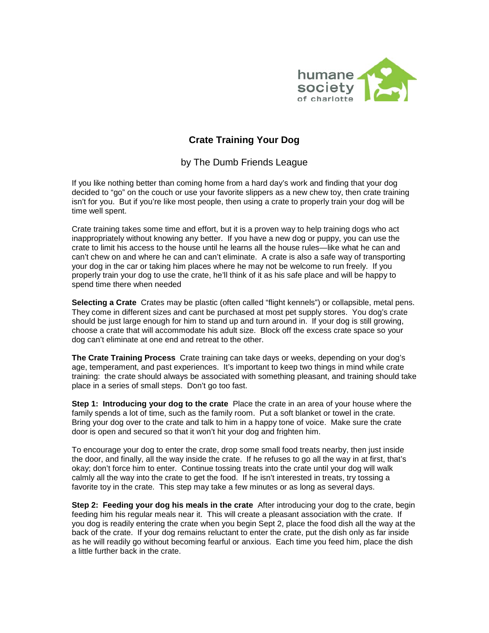

## **Crate Training Your Dog**

by The Dumb Friends League

If you like nothing better than coming home from a hard day's work and finding that your dog decided to "go" on the couch or use your favorite slippers as a new chew toy, then crate training isn't for you. But if you're like most people, then using a crate to properly train your dog will be time well spent.

Crate training takes some time and effort, but it is a proven way to help training dogs who act inappropriately without knowing any better. If you have a new dog or puppy, you can use the crate to limit his access to the house until he learns all the house rules—like what he can and can't chew on and where he can and can't eliminate. A crate is also a safe way of transporting your dog in the car or taking him places where he may not be welcome to run freely. If you properly train your dog to use the crate, he'll think of it as his safe place and will be happy to spend time there when needed

**Selecting a Crate** Crates may be plastic (often called "flight kennels") or collapsible, metal pens. They come in different sizes and cant be purchased at most pet supply stores. You dog's crate should be just large enough for him to stand up and turn around in. If your dog is still growing, choose a crate that will accommodate his adult size. Block off the excess crate space so your dog can't eliminate at one end and retreat to the other.

**The Crate Training Process** Crate training can take days or weeks, depending on your dog's age, temperament, and past experiences. It's important to keep two things in mind while crate training: the crate should always be associated with something pleasant, and training should take place in a series of small steps. Don't go too fast.

**Step 1: Introducing your dog to the crate** Place the crate in an area of your house where the family spends a lot of time, such as the family room. Put a soft blanket or towel in the crate. Bring your dog over to the crate and talk to him in a happy tone of voice. Make sure the crate door is open and secured so that it won't hit your dog and frighten him.

To encourage your dog to enter the crate, drop some small food treats nearby, then just inside the door, and finally, all the way inside the crate. If he refuses to go all the way in at first, that's okay; don't force him to enter. Continue tossing treats into the crate until your dog will walk calmly all the way into the crate to get the food. If he isn't interested in treats, try tossing a favorite toy in the crate. This step may take a few minutes or as long as several days.

**Step 2: Feeding your dog his meals in the crate** After introducing your dog to the crate, begin feeding him his regular meals near it. This will create a pleasant association with the crate. If you dog is readily entering the crate when you begin Sept 2, place the food dish all the way at the back of the crate. If your dog remains reluctant to enter the crate, put the dish only as far inside as he will readily go without becoming fearful or anxious. Each time you feed him, place the dish a little further back in the crate.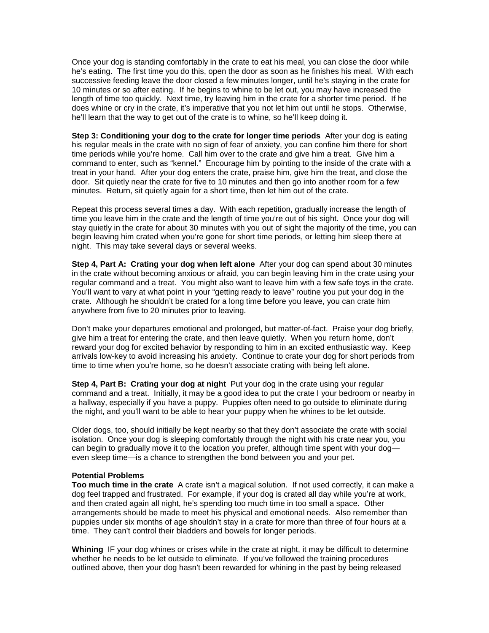Once your dog is standing comfortably in the crate to eat his meal, you can close the door while he's eating. The first time you do this, open the door as soon as he finishes his meal. With each successive feeding leave the door closed a few minutes longer, until he's staying in the crate for 10 minutes or so after eating. If he begins to whine to be let out, you may have increased the length of time too quickly. Next time, try leaving him in the crate for a shorter time period. If he does whine or cry in the crate, it's imperative that you not let him out until he stops. Otherwise, he'll learn that the way to get out of the crate is to whine, so he'll keep doing it.

**Step 3: Conditioning your dog to the crate for longer time periods** After your dog is eating his regular meals in the crate with no sign of fear of anxiety, you can confine him there for short time periods while you're home. Call him over to the crate and give him a treat. Give him a command to enter, such as "kennel." Encourage him by pointing to the inside of the crate with a treat in your hand. After your dog enters the crate, praise him, give him the treat, and close the door. Sit quietly near the crate for five to 10 minutes and then go into another room for a few minutes. Return, sit quietly again for a short time, then let him out of the crate.

Repeat this process several times a day. With each repetition, gradually increase the length of time you leave him in the crate and the length of time you're out of his sight. Once your dog will stay quietly in the crate for about 30 minutes with you out of sight the majority of the time, you can begin leaving him crated when you're gone for short time periods, or letting him sleep there at night. This may take several days or several weeks.

**Step 4, Part A: Crating your dog when left alone** After your dog can spend about 30 minutes in the crate without becoming anxious or afraid, you can begin leaving him in the crate using your regular command and a treat. You might also want to leave him with a few safe toys in the crate. You'll want to vary at what point in your "getting ready to leave" routine you put your dog in the crate. Although he shouldn't be crated for a long time before you leave, you can crate him anywhere from five to 20 minutes prior to leaving.

Don't make your departures emotional and prolonged, but matter-of-fact. Praise your dog briefly, give him a treat for entering the crate, and then leave quietly. When you return home, don't reward your dog for excited behavior by responding to him in an excited enthusiastic way. Keep arrivals low-key to avoid increasing his anxiety. Continue to crate your dog for short periods from time to time when you're home, so he doesn't associate crating with being left alone.

**Step 4, Part B: Crating your dog at night** Put your dog in the crate using your regular command and a treat. Initially, it may be a good idea to put the crate I your bedroom or nearby in a hallway, especially if you have a puppy. Puppies often need to go outside to eliminate during the night, and you'll want to be able to hear your puppy when he whines to be let outside.

Older dogs, too, should initially be kept nearby so that they don't associate the crate with social isolation. Once your dog is sleeping comfortably through the night with his crate near you, you can begin to gradually move it to the location you prefer, although time spent with your dog even sleep time—is a chance to strengthen the bond between you and your pet.

## **Potential Problems**

**Too much time in the crate** A crate isn't a magical solution. If not used correctly, it can make a dog feel trapped and frustrated. For example, if your dog is crated all day while you're at work, and then crated again all night, he's spending too much time in too small a space. Other arrangements should be made to meet his physical and emotional needs. Also remember than puppies under six months of age shouldn't stay in a crate for more than three of four hours at a time. They can't control their bladders and bowels for longer periods.

**Whining** IF your dog whines or crises while in the crate at night, it may be difficult to determine whether he needs to be let outside to eliminate. If you've followed the training procedures outlined above, then your dog hasn't been rewarded for whining in the past by being released